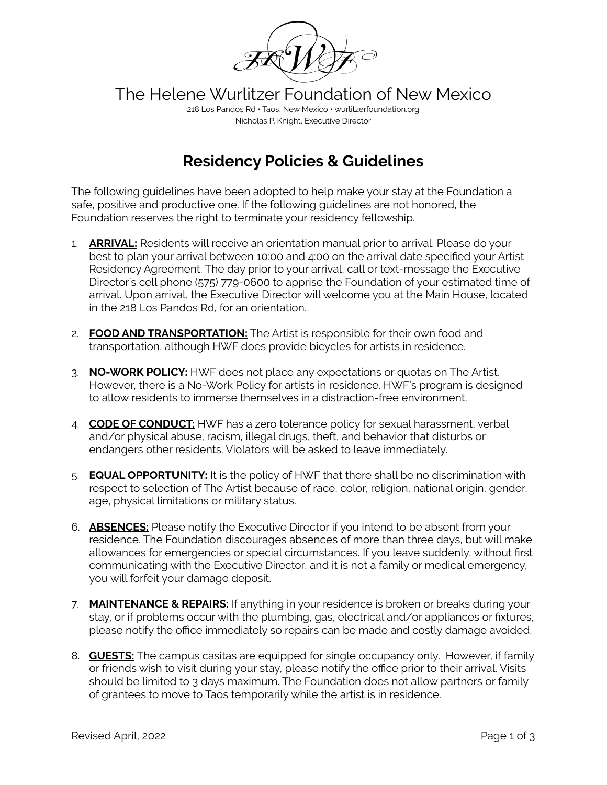

The Helene Wurlitzer Foundation of New Mexico

218 Los Pandos Rd • Taos, New Mexico • wurlitzerfoundation.org Nicholas P. Knight, Executive Director

## **Residency Policies & Guidelines**

The following guidelines have been adopted to help make your stay at the Foundation a safe, positive and productive one. If the following guidelines are not honored, the Foundation reserves the right to terminate your residency fellowship.

- 1. **ARRIVAL:** Residents will receive an orientation manual prior to arrival. Please do your best to plan your arrival between 10:00 and 4:00 on the arrival date specified your Artist Residency Agreement. The day prior to your arrival, call or text-message the Executive Director's cell phone (575) 779-0600 to apprise the Foundation of your estimated time of arrival. Upon arrival, the Executive Director will welcome you at the Main House, located in the 218 Los Pandos Rd, for an orientation.
- 2. **FOOD AND TRANSPORTATION:** The Artist is responsible for their own food and transportation, although HWF does provide bicycles for artists in residence.
- 3. **NO-WORK POLICY:** HWF does not place any expectations or quotas on The Artist. However, there is a No-Work Policy for artists in residence. HWF's program is designed to allow residents to immerse themselves in a distraction-free environment.
- 4. **CODE OF CONDUCT:** HWF has a zero tolerance policy for sexual harassment, verbal and/or physical abuse, racism, illegal drugs, theft, and behavior that disturbs or endangers other residents. Violators will be asked to leave immediately.
- 5. **EQUAL OPPORTUNITY:** It is the policy of HWF that there shall be no discrimination with respect to selection of The Artist because of race, color, religion, national origin, gender, age, physical limitations or military status.
- 6. **ABSENCES:** Please notify the Executive Director if you intend to be absent from your residence. The Foundation discourages absences of more than three days, but will make allowances for emergencies or special circumstances. If you leave suddenly, without first communicating with the Executive Director, and it is not a family or medical emergency, you will forfeit your damage deposit.
- 7. **MAINTENANCE & REPAIRS:** If anything in your residence is broken or breaks during your stay, or if problems occur with the plumbing, gas, electrical and/or appliances or fixtures, please notify the office immediately so repairs can be made and costly damage avoided.
- 8. **GUESTS:** The campus casitas are equipped for single occupancy only. However, if family or friends wish to visit during your stay, please notify the office prior to their arrival. Visits should be limited to 3 days maximum. The Foundation does not allow partners or family of grantees to move to Taos temporarily while the artist is in residence.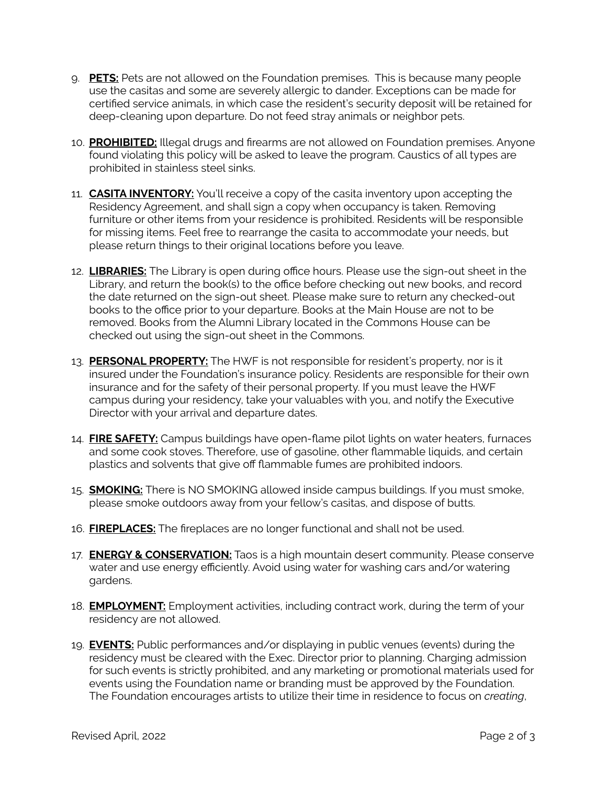- 9. **PETS:** Pets are not allowed on the Foundation premises. This is because many people use the casitas and some are severely allergic to dander. Exceptions can be made for certified service animals, in which case the resident's security deposit will be retained for deep-cleaning upon departure. Do not feed stray animals or neighbor pets.
- 10. **PROHIBITED:** Illegal drugs and firearms are not allowed on Foundation premises. Anyone found violating this policy will be asked to leave the program. Caustics of all types are prohibited in stainless steel sinks.
- 11. **CASITA INVENTORY:** You'll receive a copy of the casita inventory upon accepting the Residency Agreement, and shall sign a copy when occupancy is taken. Removing furniture or other items from your residence is prohibited. Residents will be responsible for missing items. Feel free to rearrange the casita to accommodate your needs, but please return things to their original locations before you leave.
- 12. **LIBRARIES:** The Library is open during office hours. Please use the sign-out sheet in the Library, and return the book(s) to the office before checking out new books, and record the date returned on the sign-out sheet. Please make sure to return any checked-out books to the office prior to your departure. Books at the Main House are not to be removed. Books from the Alumni Library located in the Commons House can be checked out using the sign-out sheet in the Commons.
- 13. **PERSONAL PROPERTY:** The HWF is not responsible for resident's property, nor is it insured under the Foundation's insurance policy. Residents are responsible for their own insurance and for the safety of their personal property. If you must leave the HWF campus during your residency, take your valuables with you, and notify the Executive Director with your arrival and departure dates.
- 14. **FIRE SAFETY:** Campus buildings have open-flame pilot lights on water heaters, furnaces and some cook stoves. Therefore, use of gasoline, other flammable liquids, and certain plastics and solvents that give off flammable fumes are prohibited indoors.
- 15. **SMOKING:** There is NO SMOKING allowed inside campus buildings. If you must smoke, please smoke outdoors away from your fellow's casitas, and dispose of butts.
- 16. **FIREPLACES:** The fireplaces are no longer functional and shall not be used.
- 17. **ENERGY & CONSERVATION:** Taos is a high mountain desert community. Please conserve water and use energy efficiently. Avoid using water for washing cars and/or watering gardens.
- 18. **EMPLOYMENT:** Employment activities, including contract work, during the term of your residency are not allowed.
- 19. **EVENTS:** Public performances and/or displaying in public venues (events) during the residency must be cleared with the Exec. Director prior to planning. Charging admission for such events is strictly prohibited, and any marketing or promotional materials used for events using the Foundation name or branding must be approved by the Foundation. The Foundation encourages artists to utilize their time in residence to focus on *creating*,